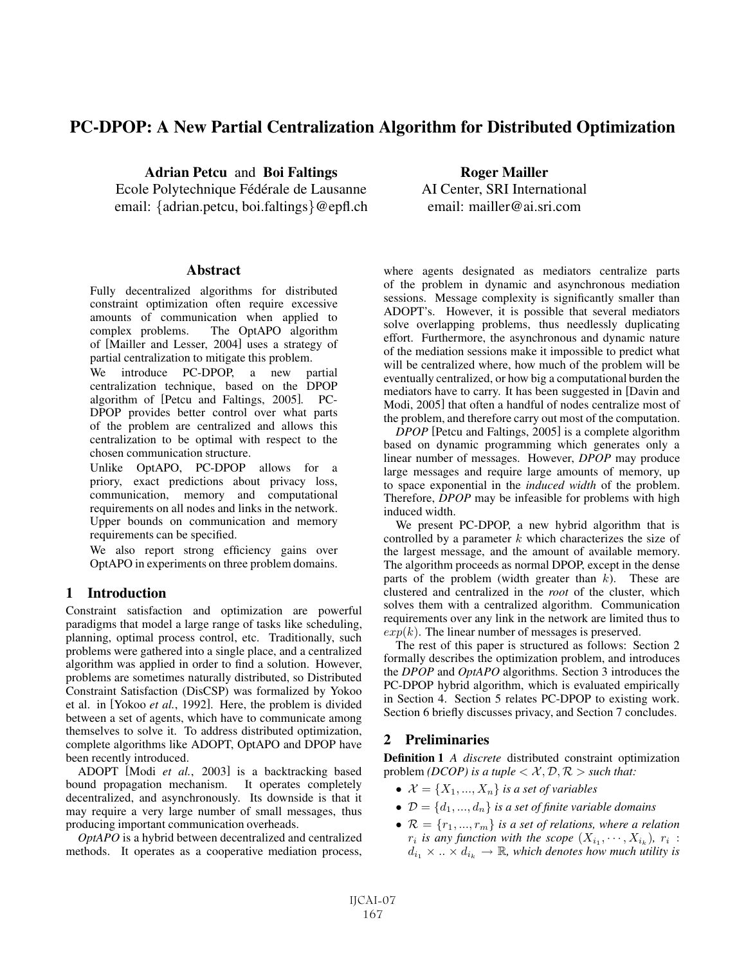# PC-DPOP: A New Partial Centralization Algorithm for Distributed Optimization

Adrian Petcu and Boi Faltings

Ecole Polytechnique Fédérale de Lausanne email: {adrian.petcu, boi.faltings}@epfl.ch

#### **Abstract**

Fully decentralized algorithms for distributed constraint optimization often require excessive amounts of communication when applied to The OptAPO algorithm of [Mailler and Lesser, 2004] uses a strategy of partial centralization to mitigate this problem.

We introduce PC-DPOP, a new partial centralization technique, based on the DPOP algorithm of [Petcu and Faltings, 2005]. PC-DPOP provides better control over what parts of the problem are centralized and allows this centralization to be optimal with respect to the chosen communication structure.

Unlike OptAPO, PC-DPOP allows for a priory, exact predictions about privacy loss, communication, memory and computational requirements on all nodes and links in the network. Upper bounds on communication and memory requirements can be specified.

We also report strong efficiency gains over OptAPO in experiments on three problem domains.

# 1 Introduction

Constraint satisfaction and optimization are powerful paradigms that model a large range of tasks like scheduling, planning, optimal process control, etc. Traditionally, such problems were gathered into a single place, and a centralized algorithm was applied in order to find a solution. However, problems are sometimes naturally distributed, so Distributed Constraint Satisfaction (DisCSP) was formalized by Yokoo et al. in [Yokoo *et al.*, 1992]. Here, the problem is divided between a set of agents, which have to communicate among themselves to solve it. To address distributed optimization, complete algorithms like ADOPT, OptAPO and DPOP have been recently introduced.

ADOPT [Modi *et al.*, 2003] is a backtracking based bound propagation mechanism. It operates completely decentralized, and asynchronously. Its downside is that it may require a very large number of small messages, thus producing important communication overheads.

*OptAPO* is a hybrid between decentralized and centralized methods. It operates as a cooperative mediation process,

Roger Mailler AI Center, SRI International email: mailler@ai.sri.com

where agents designated as mediators centralize parts of the problem in dynamic and asynchronous mediation sessions. Message complexity is significantly smaller than ADOPT's. However, it is possible that several mediators solve overlapping problems, thus needlessly duplicating effort. Furthermore, the asynchronous and dynamic nature of the mediation sessions make it impossible to predict what will be centralized where, how much of the problem will be eventually centralized, or how big a computational burden the mediators have to carry. It has been suggested in [Davin and Modi, 2005] that often a handful of nodes centralize most of the problem, and therefore carry out most of the computation.

*DPOP* [Petcu and Faltings, 2005] is a complete algorithm based on dynamic programming which generates only a linear number of messages. However, *DPOP* may produce large messages and require large amounts of memory, up to space exponential in the *induced width* of the problem. Therefore, *DPOP* may be infeasible for problems with high induced width.

We present PC-DPOP, a new hybrid algorithm that is controlled by a parameter  $k$  which characterizes the size of the largest message, and the amount of available memory. The algorithm proceeds as normal DPOP, except in the dense parts of the problem (width greater than  $k$ ). These are clustered and centralized in the *root* of the cluster, which solves them with a centralized algorithm. Communication requirements over any link in the network are limited thus to  $exp(k)$ . The linear number of messages is preserved.

The rest of this paper is structured as follows: Section 2 formally describes the optimization problem, and introduces the *DPOP* and *OptAPO* algorithms. Section 3 introduces the PC-DPOP hybrid algorithm, which is evaluated empirically in Section 4. Section 5 relates PC-DPOP to existing work. Section 6 briefly discusses privacy, and Section 7 concludes.

# 2 Preliminaries

Definition 1 *A discrete* distributed constraint optimization problem *(DCOP)* is a tuple  $\langle X, \mathcal{D}, \mathcal{R} \rangle$  *such that:* 

- $\mathcal{X} = \{X_1, ..., X_n\}$  *is a set of variables*
- $\mathcal{D} = \{d_1, ..., d_n\}$  *is a set of finite variable domains*
- $\mathcal{R} = \{r_1, ..., r_m\}$  *is a set of relations, where a relation*  $r_i$  *is any function with the scope*  $(X_{i_1}, \dots, X_{i_k})$ *,*  $r_i$ :  $d_{i_1} \times \ldots \times d_{i_k} \to \mathbb{R}$ , which denotes how much utility is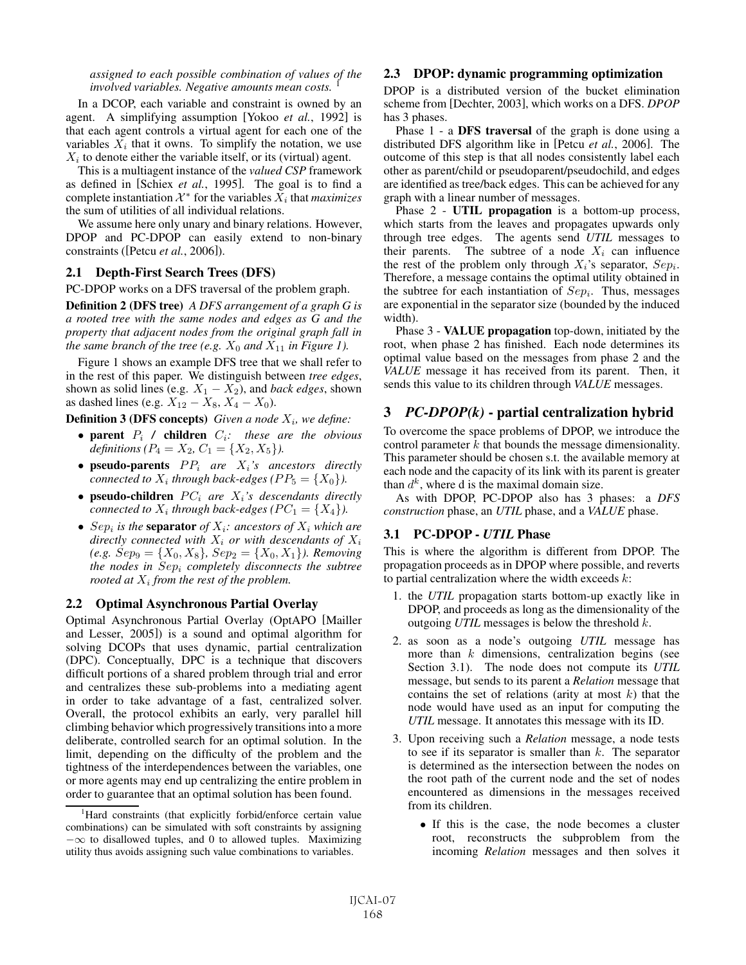*assigned to each possible combination of values of the involved variables. Negative amounts mean costs.* 

In a DCOP, each variable and constraint is owned by an agent. A simplifying assumption [Yokoo *et al.*, 1992] is that each agent controls a virtual agent for each one of the variables  $X_i$  that it owns. To simplify the notation, we use  $X_i$  to denote either the variable itself, or its (virtual) agent.

This is a multiagent instance of the *valued CSP* framework as defined in [Schiex *et al.*, 1995]. The goal is to find a complete instantiation  $\mathcal{X}^*$  for the variables  $X_i$  that *maximizes* the sum of utilities of all individual relations.

We assume here only unary and binary relations. However, DPOP and PC-DPOP can easily extend to non-binary constraints ([Petcu *et al.*, 2006]).

### 2.1 Depth-First Search Trees (DFS)

PC-DPOP works on a DFS traversal of the problem graph.

Definition 2 (DFS tree) *A DFS arrangement of a graph G is a rooted tree with the same nodes and edges as G and the property that adjacent nodes from the original graph fall in the same branch of the tree (e.g.*  $X_0$  *and*  $X_{11}$  *in Figure 1).* 

Figure 1 shows an example DFS tree that we shall refer to in the rest of this paper. We distinguish between *tree edges*, shown as solid lines (e.g.  $X_1 - X_2$ ), and *back edges*, shown as dashed lines (e.g.  $X_{12} - X_8$ ,  $X_4 - X_0$ ).

**Definition 3 (DFS concepts)** *Given a node*  $X_i$ *, we define:* 

- parent P<sup>i</sup> */* children Ci*: these are the obvious definitions (P<sub>4</sub> = X<sub>2</sub>, C<sub>1</sub> = {X<sub>2</sub>, X<sub>5</sub>}</sub>).*
- **pseudo-parents**  $PP_i$  are  $X_i$ 's ancestors directly *connected to*  $X_i$  *through back-edges (PP<sub>5</sub> = {X<sub>0</sub>}).*
- pseudo-children  $PC_i$  are  $X_i$ 's descendants directly *connected to*  $X_i$  *through back-edges (PC*<sub>1</sub> = { $X_4$ }).
- Sep<sub>i</sub> is the **separator** of  $X_i$ : ancestors of  $X_i$  which are *directly connected with*  $X_i$  *or with descendants of*  $X_i$  $(e.g. \; Sep_9 = \{X_0, X_8\}, \; Sep_2 = \{X_0, X_1\}.$  *Removing the nodes in* Sep<sup>i</sup> *completely disconnects the subtree rooted at*  $X_i$  *from the rest of the problem.*

#### 2.2 Optimal Asynchronous Partial Overlay

Optimal Asynchronous Partial Overlay (OptAPO [Mailler and Lesser, 2005]) is a sound and optimal algorithm for solving DCOPs that uses dynamic, partial centralization (DPC). Conceptually, DPC is a technique that discovers difficult portions of a shared problem through trial and error and centralizes these sub-problems into a mediating agent in order to take advantage of a fast, centralized solver. Overall, the protocol exhibits an early, very parallel hill climbing behavior which progressively transitions into a more deliberate, controlled search for an optimal solution. In the limit, depending on the difficulty of the problem and the tightness of the interdependences between the variables, one or more agents may end up centralizing the entire problem in order to guarantee that an optimal solution has been found.

#### 2.3 DPOP: dynamic programming optimization

DPOP is a distributed version of the bucket elimination scheme from [Dechter, 2003], which works on a DFS. *DPOP* has 3 phases.

Phase 1 - a DFS traversal of the graph is done using a distributed DFS algorithm like in [Petcu *et al.*, 2006]. The outcome of this step is that all nodes consistently label each other as parent/child or pseudoparent/pseudochild, and edges are identified as tree/back edges. This can be achieved for any graph with a linear number of messages.

Phase 2 - UTIL propagation is a bottom-up process, which starts from the leaves and propagates upwards only through tree edges. The agents send *UTIL* messages to their parents. The subtree of a node  $X_i$  can influence the rest of the problem only through  $X_i$ 's separator,  $Sep_i$ . Therefore, a message contains the optimal utility obtained in the subtree for each instantiation of  $Sep<sub>i</sub>$ . Thus, messages are exponential in the separator size (bounded by the induced width).

Phase 3 - VALUE propagation top-down, initiated by the root, when phase 2 has finished. Each node determines its optimal value based on the messages from phase 2 and the *VALUE* message it has received from its parent. Then, it sends this value to its children through *VALUE* messages.

### 3 *PC-DPOP(k)* - partial centralization hybrid

To overcome the space problems of DPOP, we introduce the control parameter  $k$  that bounds the message dimensionality. This parameter should be chosen s.t. the available memory at each node and the capacity of its link with its parent is greater than  $d^k$ , where d is the maximal domain size.

As with DPOP, PC-DPOP also has 3 phases: a *DFS construction* phase, an *UTIL* phase, and a *VALUE* phase.

### 3.1 PC-DPOP - *UTIL* Phase

This is where the algorithm is different from DPOP. The propagation proceeds as in DPOP where possible, and reverts to partial centralization where the width exceeds  $k$ :

- 1. the *UTIL* propagation starts bottom-up exactly like in DPOP, and proceeds as long as the dimensionality of the outgoing *UTIL* messages is below the threshold k.
- 2. as soon as a node's outgoing *UTIL* message has more than  $k$  dimensions, centralization begins (see Section 3.1). The node does not compute its *UTIL* message, but sends to its parent a *Relation* message that contains the set of relations (arity at most  $k$ ) that the node would have used as an input for computing the *UTIL* message. It annotates this message with its ID.
- 3. Upon receiving such a *Relation* message, a node tests to see if its separator is smaller than  $k$ . The separator is determined as the intersection between the nodes on the root path of the current node and the set of nodes encountered as dimensions in the messages received from its children.
	- If this is the case, the node becomes a cluster root, reconstructs the subproblem from the incoming *Relation* messages and then solves it

<sup>&</sup>lt;sup>1</sup>Hard constraints (that explicitly forbid/enforce certain value combinations) can be simulated with soft constraints by assigning  $-\infty$  to disallowed tuples, and 0 to allowed tuples. Maximizing utility thus avoids assigning such value combinations to variables.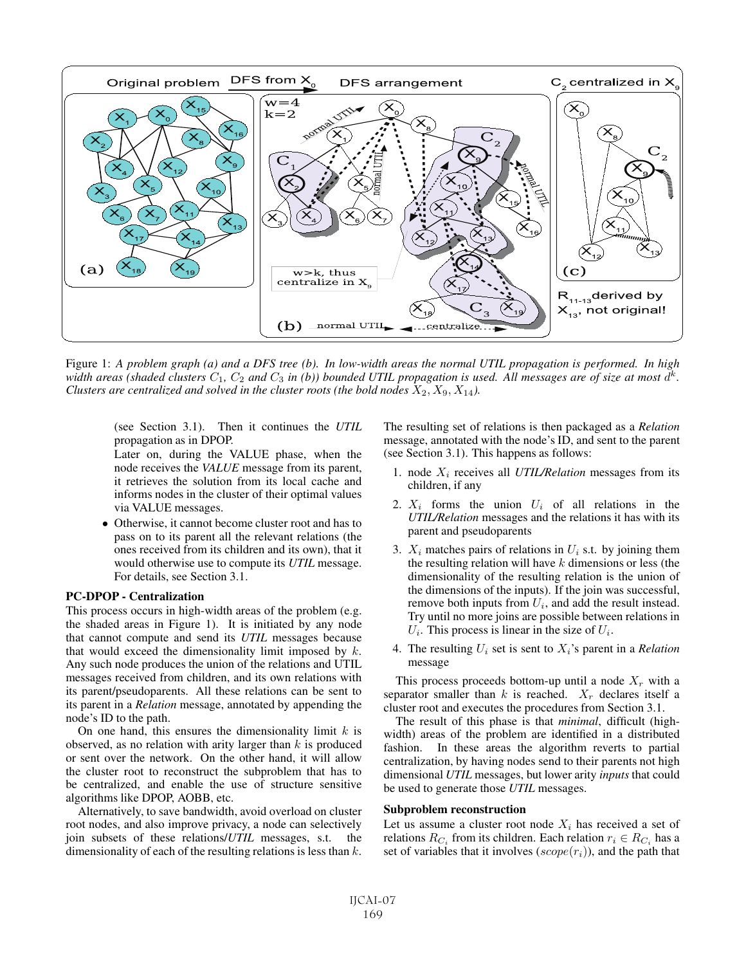

Figure 1: *A problem graph (a) and a DFS tree (b). In low-width areas the normal UTIL propagation is performed. In high width areas (shaded clusters*  $C_1$ ,  $C_2$  *and*  $C_3$  *in (b)) bounded UTIL propagation is used. All messages are of size at most*  $d^k$ . *Clusters are centralized and solved in the cluster roots (the bold nodes*  $X_2, X_9, X_{14}$ ).

(see Section 3.1). Then it continues the *UTIL* propagation as in DPOP.

Later on, during the VALUE phase, when the node receives the *VALUE* message from its parent, it retrieves the solution from its local cache and informs nodes in the cluster of their optimal values via VALUE messages.

• Otherwise, it cannot become cluster root and has to pass on to its parent all the relevant relations (the ones received from its children and its own), that it would otherwise use to compute its *UTIL* message. For details, see Section 3.1.

#### PC-DPOP - Centralization

This process occurs in high-width areas of the problem (e.g. the shaded areas in Figure 1). It is initiated by any node that cannot compute and send its *UTIL* messages because that would exceed the dimensionality limit imposed by  $k$ . Any such node produces the union of the relations and UTIL messages received from children, and its own relations with its parent/pseudoparents. All these relations can be sent to its parent in a *Relation* message, annotated by appending the node's ID to the path.

On one hand, this ensures the dimensionality limit  $k$  is observed, as no relation with arity larger than  $k$  is produced or sent over the network. On the other hand, it will allow the cluster root to reconstruct the subproblem that has to be centralized, and enable the use of structure sensitive algorithms like DPOP, AOBB, etc.

Alternatively, to save bandwidth, avoid overload on cluster root nodes, and also improve privacy, a node can selectively join subsets of these relations/*UTIL* messages, s.t. the dimensionality of each of the resulting relations is less than  $k$ . The resulting set of relations is then packaged as a *Relation* message, annotated with the node's ID, and sent to the parent (see Section 3.1). This happens as follows:

- 1. node X<sup>i</sup> receives all *UTIL/Relation* messages from its children, if any
- 2.  $X_i$  forms the union  $U_i$  of all relations in the *UTIL/Relation* messages and the relations it has with its parent and pseudoparents
- 3.  $X_i$  matches pairs of relations in  $U_i$  s.t. by joining them the resulting relation will have  $k$  dimensions or less (the dimensionality of the resulting relation is the union of the dimensions of the inputs). If the join was successful, remove both inputs from  $U_i$ , and add the result instead. Try until no more joins are possible between relations in  $U_i$ . This process is linear in the size of  $U_i$ .
- 4. The resulting  $U_i$  set is sent to  $X_i$ 's parent in a *Relation* message

This process proceeds bottom-up until a node  $X_r$  with a separator smaller than k is reached.  $X_r$  declares itself a cluster root and executes the procedures from Section 3.1.

The result of this phase is that *minimal*, difficult (highwidth) areas of the problem are identified in a distributed fashion. In these areas the algorithm reverts to partial centralization, by having nodes send to their parents not high dimensional *UTIL* messages, but lower arity *inputs* that could be used to generate those *UTIL* messages.

#### Subproblem reconstruction

Let us assume a cluster root node  $X_i$  has received a set of relations  $R_{C_i}$  from its children. Each relation  $r_i \in R_{C_i}$  has a set of variables that it involves  $(scope(r_i))$ , and the path that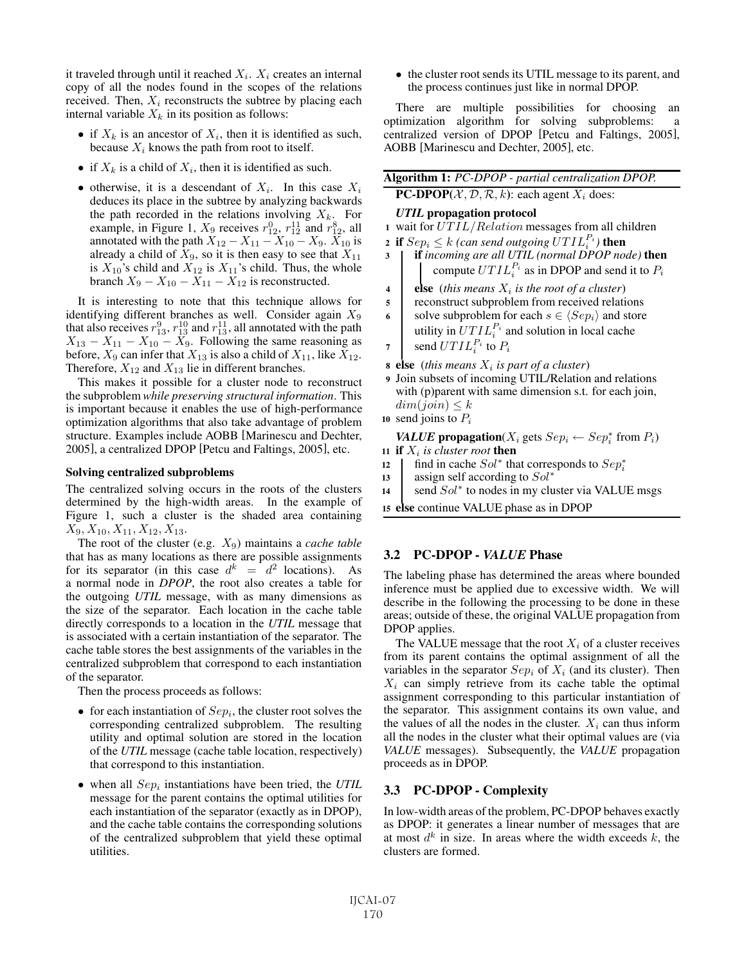it traveled through until it reached  $X_i$ .  $X_i$  creates an internal copy of all the nodes found in the scopes of the relations received. Then,  $X_i$  reconstructs the subtree by placing each internal variable  $X_k$  in its position as follows:

- if  $X_k$  is an ancestor of  $X_i$ , then it is identified as such, because  $X_i$  knows the path from root to itself.
- if  $X_k$  is a child of  $X_i$ , then it is identified as such.
- otherwise, it is a descendant of  $X_i$ . In this case  $X_i$ deduces its place in the subtree by analyzing backwards the path recorded in the relations involving  $X_k$ . For example, in Figure 1,  $X_9$  receives  $r_{12}^0$ ,  $r_{12}^{11}$  and  $r_{12}^8$ , all annotated with the path  $X_{12} - X_{11} - X_{10} - X_9$ .  $X_{10}$  is already a child of  $X_9$ , so it is then easy to see that  $X_{11}$ is  $X_{10}$ 's child and  $X_{12}$  is  $X_{11}$ 's child. Thus, the whole branch  $X_9 - X_{10} - X_{11} - X_{12}$  is reconstructed.

It is interesting to note that this technique allows for identifying different branches as well. Consider again  $X_9$ that also receives  $r_{13}^9$ ,  $r_{13}^{10}$  and  $r_{13}^{11}$ , all annotated with the path  $X_{13} - X_{11} - X_{10} - X_9$ . Following the same reasoning as before,  $X_9$  can infer that  $X_{13}$  is also a child of  $X_{11}$ , like  $X_{12}$ . Therefore,  $X_{12}$  and  $X_{13}$  lie in different branches.

This makes it possible for a cluster node to reconstruct the subproblem *while preserving structural information*. This is important because it enables the use of high-performance optimization algorithms that also take advantage of problem structure. Examples include AOBB [Marinescu and Dechter, 2005], a centralized DPOP [Petcu and Faltings, 2005], etc.

#### Solving centralized subproblems

The centralized solving occurs in the roots of the clusters determined by the high-width areas. In the example of Figure 1, such a cluster is the shaded area containing  $X_9, X_{10}, X_{11}, X_{12}, X_{13}.$ 

The root of the cluster (e.g. X9) maintains a *cache table* that has as many locations as there are possible assignments for its separator (in this case  $d^k = d^2$  locations). As a normal node in *DPOP*, the root also creates a table for the outgoing *UTIL* message, with as many dimensions as the size of the separator. Each location in the cache table directly corresponds to a location in the *UTIL* message that is associated with a certain instantiation of the separator. The cache table stores the best assignments of the variables in the centralized subproblem that correspond to each instantiation of the separator.

Then the process proceeds as follows:

- for each instantiation of  $Sep<sub>i</sub>$ , the cluster root solves the corresponding centralized subproblem. The resulting utility and optimal solution are stored in the location of the *UTIL* message (cache table location, respectively) that correspond to this instantiation.
- $\bullet$  when all  $Sep<sub>i</sub>$  instantiations have been tried, the *UTIL* message for the parent contains the optimal utilities for each instantiation of the separator (exactly as in DPOP), and the cache table contains the corresponding solutions of the centralized subproblem that yield these optimal utilities.

• the cluster root sends its UTIL message to its parent, and the process continues just like in normal DPOP.

There are multiple possibilities for choosing an optimization algorithm for solving subproblems: a centralized version of DPOP [Petcu and Faltings, 2005], AOBB [Marinescu and Dechter, 2005], etc.

| Algorithm 1: PC-DPOP - partial centralization DPOP.                        |  |
|----------------------------------------------------------------------------|--|
| <b>PC-DPOP</b> $(X, \mathcal{D}, \mathcal{R}, k)$ : each agent $X_i$ does: |  |

#### *UTIL* propagation protocol

- 1 wait for  $UTIL/Relation$  messages from all children
- 2 if  $Sep_i \leq k$  (can send outgoing  $\overline{UTIL}_i^{P_i}$ ) then
- <sup>3</sup> if *incoming are all UTIL (normal DPOP node)* then compute  $UTIL_i^{P_i}$  as in DPOP and send it to  $P_i$
- 4 **else** (*this means*  $X_i$  *is the root of a cluster*)
- <sup>5</sup> reconstruct subproblem from received relations 6 solve subproblem for each  $s \in \langle Sep_i\rangle$  and store utility in  $UTIL_i^{P_i}$  and solution in local cache
- 7 send  $UTIL_i^{P_i}$  to  $P_i$
- 8 else (*this means*  $X_i$  *is part of a cluster*)
- <sup>9</sup> Join subsets of incoming UTIL/Relation and relations with (p) parent with same dimension s.t. for each join,  $dim(join) \leq k$
- 10 send joins to  $P_i$

*VALUE* propagation( $X_i$  gets  $Sep_i \leftarrow Sep_i^*$  from  $P_i$ )

- 11 if  $X_i$  is cluster root then
- 12 | find in cache  $Sol^*$  that corresponds to  $Sep_i^*$ 12 find in cache  $Sol^*$  that corres<br>13 assign self according to  $Sol^*$
- 
- 14 send  $Sol^*$  to nodes in my cluster via VALUE msgs
- <sup>15</sup> else continue VALUE phase as in DPOP

## 3.2 PC-DPOP - *VALUE* Phase

The labeling phase has determined the areas where bounded inference must be applied due to excessive width. We will describe in the following the processing to be done in these areas; outside of these, the original VALUE propagation from DPOP applies.

The VALUE message that the root  $X_i$  of a cluster receives from its parent contains the optimal assignment of all the variables in the separator  $Sep<sub>i</sub>$  of  $X<sub>i</sub>$  (and its cluster). Then  $X_i$  can simply retrieve from its cache table the optimal assignment corresponding to this particular instantiation of the separator. This assignment contains its own value, and the values of all the nodes in the cluster.  $X_i$  can thus inform all the nodes in the cluster what their optimal values are (via *VALUE* messages). Subsequently, the *VALUE* propagation proceeds as in DPOP.

### 3.3 PC-DPOP - Complexity

In low-width areas of the problem, PC-DPOP behaves exactly as DPOP: it generates a linear number of messages that are at most  $d^k$  in size. In areas where the width exceeds k, the clusters are formed.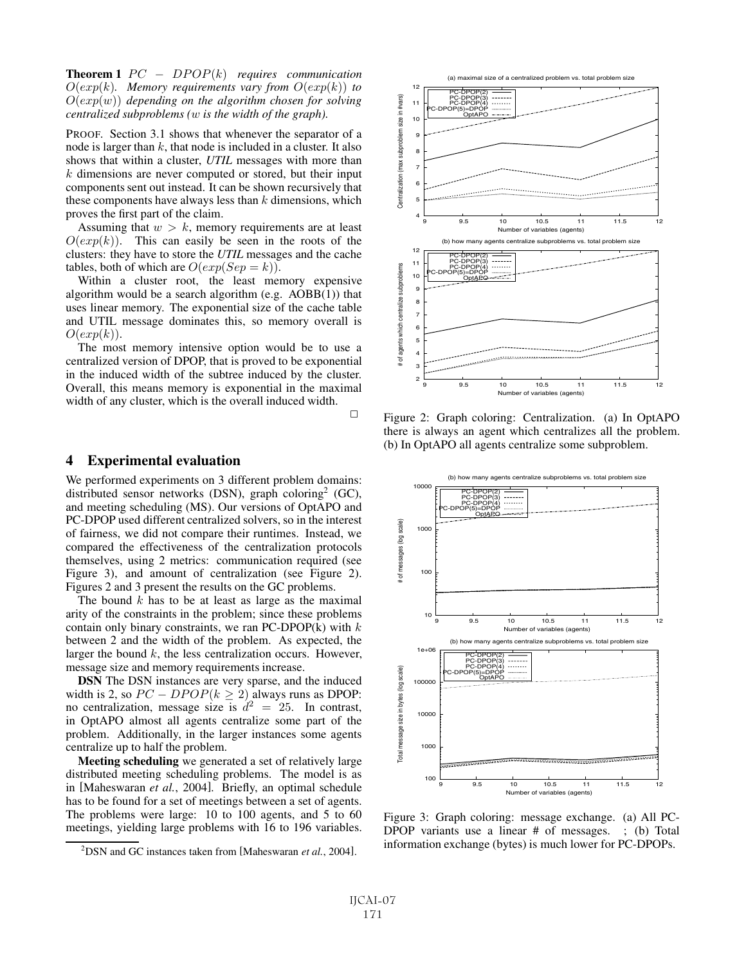**Theorem 1**  $PC - DPOP(k)$  *requires communication*  $O(exp(k)$ *. Memory requirements vary from*  $O(exp(k))$  *to* O(exp(w)) *depending on the algorithm chosen for solving centralized subproblems (*w *is the width of the graph).*

PROOF. Section 3.1 shows that whenever the separator of a node is larger than  $k$ , that node is included in a cluster. It also shows that within a cluster, *UTIL* messages with more than  $k$  dimensions are never computed or stored, but their input components sent out instead. It can be shown recursively that these components have always less than  $k$  dimensions, which proves the first part of the claim.

Assuming that  $w > k$ , memory requirements are at least  $O(exp(k))$ . This can easily be seen in the roots of the clusters: they have to store the *UTIL* messages and the cache tables, both of which are  $O(exp(Sep = k)).$ 

Within a cluster root, the least memory expensive algorithm would be a search algorithm (e.g. AOBB(1)) that uses linear memory. The exponential size of the cache table and UTIL message dominates this, so memory overall is  $O(exp(k)).$ 

The most memory intensive option would be to use a centralized version of DPOP, that is proved to be exponential in the induced width of the subtree induced by the cluster. Overall, this means memory is exponential in the maximal width of any cluster, which is the overall induced width.

 $\Box$ 

#### 4 Experimental evaluation

We performed experiments on 3 different problem domains: distributed sensor networks (DSN), graph coloring<sup>2</sup> (GC), and meeting scheduling (MS). Our versions of OptAPO and PC-DPOP used different centralized solvers, so in the interest of fairness, we did not compare their runtimes. Instead, we compared the effectiveness of the centralization protocols themselves, using 2 metrics: communication required (see Figure 3), and amount of centralization (see Figure 2). Figures 2 and 3 present the results on the GC problems.

The bound  $k$  has to be at least as large as the maximal arity of the constraints in the problem; since these problems contain only binary constraints, we ran PC-DPOP $(k)$  with  $k$ between 2 and the width of the problem. As expected, the larger the bound  $k$ , the less centralization occurs. However, message size and memory requirements increase.

DSN The DSN instances are very sparse, and the induced width is 2, so  $PC - DPOP(k \ge 2)$  always runs as DPOP: no centralization, message size is  $d^2 = 25$ . In contrast, in OptAPO almost all agents centralize some part of the problem. Additionally, in the larger instances some agents centralize up to half the problem.

Meeting scheduling we generated a set of relatively large distributed meeting scheduling problems. The model is as in [Maheswaran *et al.*, 2004]. Briefly, an optimal schedule has to be found for a set of meetings between a set of agents. The problems were large: 10 to 100 agents, and 5 to 60 meetings, yielding large problems with 16 to 196 variables.



Figure 2: Graph coloring: Centralization. (a) In OptAPO there is always an agent which centralizes all the problem. (b) In OptAPO all agents centralize some subproblem.



Figure 3: Graph coloring: message exchange. (a) All PC-DPOP variants use a linear # of messages. ; (b) Total information exchange (bytes) is much lower for PC-DPOPs.

<sup>2</sup> DSN and GC instances taken from [Maheswaran *et al.*, 2004].